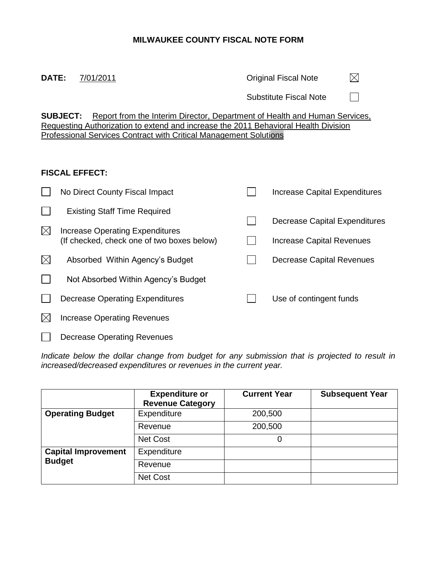# **MILWAUKEE COUNTY FISCAL NOTE FORM**

## **DATE:** 7/01/2011 **DATE:** 7/01/2011

 $\boxtimes$ 

Substitute Fiscal Note  $\Box$ 

**SUBJECT:** Report from the Interim Director, Department of Health and Human Services, Requesting Authorization to extend and increase the 2011 Behavioral Health Division Professional Services Contract with Critical Management Solutions

### **FISCAL EFFECT:**

|             | No Direct County Fiscal Impact             | Increase Capital Expenditures        |  |  |
|-------------|--------------------------------------------|--------------------------------------|--|--|
|             | <b>Existing Staff Time Required</b>        |                                      |  |  |
| $\boxtimes$ | Increase Operating Expenditures            | <b>Decrease Capital Expenditures</b> |  |  |
|             | (If checked, check one of two boxes below) | <b>Increase Capital Revenues</b>     |  |  |
| $\boxtimes$ | Absorbed Within Agency's Budget            | Decrease Capital Revenues            |  |  |
|             | Not Absorbed Within Agency's Budget        |                                      |  |  |
|             | Decrease Operating Expenditures            | Use of contingent funds              |  |  |
|             | <b>Increase Operating Revenues</b>         |                                      |  |  |
|             | Decrease Operating Revenues                |                                      |  |  |

*Indicate below the dollar change from budget for any submission that is projected to result in increased/decreased expenditures or revenues in the current year.*

|                            | <b>Expenditure or</b><br><b>Revenue Category</b> | <b>Current Year</b> | <b>Subsequent Year</b> |
|----------------------------|--------------------------------------------------|---------------------|------------------------|
| <b>Operating Budget</b>    | Expenditure                                      | 200,500             |                        |
|                            | Revenue                                          | 200,500             |                        |
|                            | <b>Net Cost</b>                                  | 0                   |                        |
| <b>Capital Improvement</b> | Expenditure                                      |                     |                        |
| <b>Budget</b>              | Revenue                                          |                     |                        |
|                            | <b>Net Cost</b>                                  |                     |                        |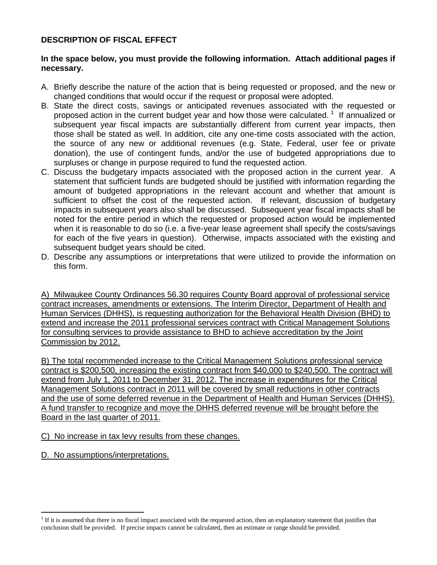### **DESCRIPTION OF FISCAL EFFECT**

#### **In the space below, you must provide the following information. Attach additional pages if necessary.**

- A. Briefly describe the nature of the action that is being requested or proposed, and the new or changed conditions that would occur if the request or proposal were adopted.
- B. State the direct costs, savings or anticipated revenues associated with the requested or proposed action in the current budget year and how those were calculated.<sup>1</sup> If annualized or subsequent year fiscal impacts are substantially different from current year impacts, then those shall be stated as well. In addition, cite any one-time costs associated with the action, the source of any new or additional revenues (e.g. State, Federal, user fee or private donation), the use of contingent funds, and/or the use of budgeted appropriations due to surpluses or change in purpose required to fund the requested action.
- C. Discuss the budgetary impacts associated with the proposed action in the current year. A statement that sufficient funds are budgeted should be justified with information regarding the amount of budgeted appropriations in the relevant account and whether that amount is sufficient to offset the cost of the requested action.If relevant, discussion of budgetary impacts in subsequent years also shall be discussed. Subsequent year fiscal impacts shall be noted for the entire period in which the requested or proposed action would be implemented when it is reasonable to do so (i.e. a five-year lease agreement shall specify the costs/savings for each of the five years in question). Otherwise, impacts associated with the existing and subsequent budget years should be cited.
- D. Describe any assumptions or interpretations that were utilized to provide the information on this form.

A) Milwaukee County Ordinances 56.30 requires County Board approval of professional service contract increases, amendments or extensions. The Interim Director, Department of Health and Human Services (DHHS), is requesting authorization for the Behavioral Health Division (BHD) to extend and increase the 2011 professional services contract with Critical Management Solutions for consulting services to provide assistance to BHD to achieve accreditation by the Joint Commission by 2012.

B) The total recommended increase to the Critical Management Solutions professional service contract is \$200,500, increasing the existing contract from \$40,000 to \$240,500. The contract will extend from July 1, 2011 to December 31, 2012. The increase in expenditures for the Critical Management Solutions contract in 2011 will be covered by small reductions in other contracts and the use of some deferred revenue in the Department of Health and Human Services (DHHS). A fund transfer to recognize and move the DHHS deferred revenue will be brought before the Board in the last quarter of 2011.

C) No increase in tax levy results from these changes.

D. No assumptions/interpretations.

 $\overline{a}$ 

<sup>&</sup>lt;sup>1</sup> If it is assumed that there is no fiscal impact associated with the requested action, then an explanatory statement that justifies that conclusion shall be provided.If precise impacts cannot be calculated, then an estimate or range should be provided.